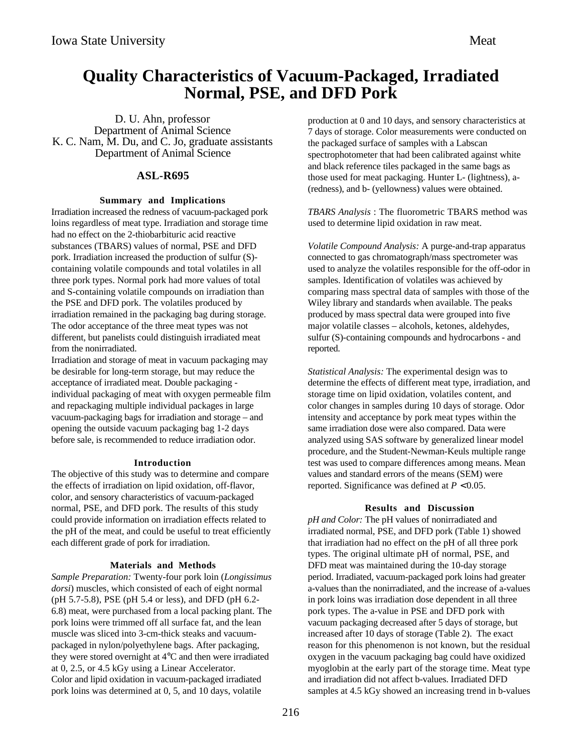# **Quality Characteristics of Vacuum-Packaged, Irradiated Normal, PSE, and DFD Pork**

D. U. Ahn, professor Department of Animal Science K. C. Nam, M. Du, and C. Jo, graduate assistants Department of Animal Science

## **ASL-R695**

### **Summary and Implications**

Irradiation increased the redness of vacuum-packaged pork loins regardless of meat type. Irradiation and storage time had no effect on the 2-thiobarbituric acid reactive substances (TBARS) values of normal, PSE and DFD pork. Irradiation increased the production of sulfur (S) containing volatile compounds and total volatiles in all three pork types. Normal pork had more values of total and S-containing volatile compounds on irradiation than the PSE and DFD pork. The volatiles produced by irradiation remained in the packaging bag during storage. The odor acceptance of the three meat types was not different, but panelists could distinguish irradiated meat from the nonirradiated.

Irradiation and storage of meat in vacuum packaging may be desirable for long-term storage, but may reduce the acceptance of irradiated meat. Double packaging individual packaging of meat with oxygen permeable film and repackaging multiple individual packages in large vacuum-packaging bags for irradiation and storage – and opening the outside vacuum packaging bag 1-2 days before sale, is recommended to reduce irradiation odor.

### **Introduction**

The objective of this study was to determine and compare the effects of irradiation on lipid oxidation, off-flavor, color, and sensory characteristics of vacuum-packaged normal, PSE, and DFD pork. The results of this study could provide information on irradiation effects related to the pH of the meat, and could be useful to treat efficiently each different grade of pork for irradiation.

### **Materials and Methods**

*Sample Preparation:* Twenty-four pork loin (*Longissimus dorsi*) muscles, which consisted of each of eight normal (pH 5.7-5.8), PSE (pH 5.4 or less), and DFD (pH 6.2- 6.8) meat, were purchased from a local packing plant. The pork loins were trimmed off all surface fat, and the lean muscle was sliced into 3-cm-thick steaks and vacuumpackaged in nylon/polyethylene bags. After packaging, they were stored overnight at 4°C and then were irradiated at 0, 2.5, or 4.5 kGy using a Linear Accelerator. Color and lipid oxidation in vacuum-packaged irradiated pork loins was determined at 0, 5, and 10 days, volatile

production at 0 and 10 days, and sensory characteristics at 7 days of storage. Color measurements were conducted on the packaged surface of samples with a Labscan spectrophotometer that had been calibrated against white and black reference tiles packaged in the same bags as those used for meat packaging. Hunter L- (lightness), a- (redness), and b- (yellowness) values were obtained.

*TBARS Analysis* : The fluorometric TBARS method was used to determine lipid oxidation in raw meat.

*Volatile Compound Analysis:* A purge-and-trap apparatus connected to gas chromatograph/mass spectrometer was used to analyze the volatiles responsible for the off-odor in samples. Identification of volatiles was achieved by comparing mass spectral data of samples with those of the Wiley library and standards when available. The peaks produced by mass spectral data were grouped into five major volatile classes – alcohols, ketones, aldehydes, sulfur (S)-containing compounds and hydrocarbons - and reported.

*Statistical Analysis:* The experimental design was to determine the effects of different meat type, irradiation, and storage time on lipid oxidation, volatiles content, and color changes in samples during 10 days of storage. Odor intensity and acceptance by pork meat types within the same irradiation dose were also compared. Data were analyzed using SAS software by generalized linear model procedure, and the Student-Newman-Keuls multiple range test was used to compare differences among means. Mean values and standard errors of the means (SEM) were reported. Significance was defined at *P* <sup>&</sup>lt; 0.05.

### **Results and Discussion**

*pH and Color:* The pH values of nonirradiated and irradiated normal, PSE, and DFD pork (Table 1) showed that irradiation had no effect on the pH of all three pork types. The original ultimate pH of normal, PSE, and DFD meat was maintained during the 10-day storage period. Irradiated, vacuum-packaged pork loins had greater a-values than the nonirradiated, and the increase of a-values in pork loins was irradiation dose dependent in all three pork types. The a-value in PSE and DFD pork with vacuum packaging decreased after 5 days of storage, but increased after 10 days of storage (Table 2). The exact reason for this phenomenon is not known, but the residual oxygen in the vacuum packaging bag could have oxidized myoglobin at the early part of the storage time. Meat type and irradiation did not affect b-values. Irradiated DFD samples at 4.5 kGy showed an increasing trend in b-values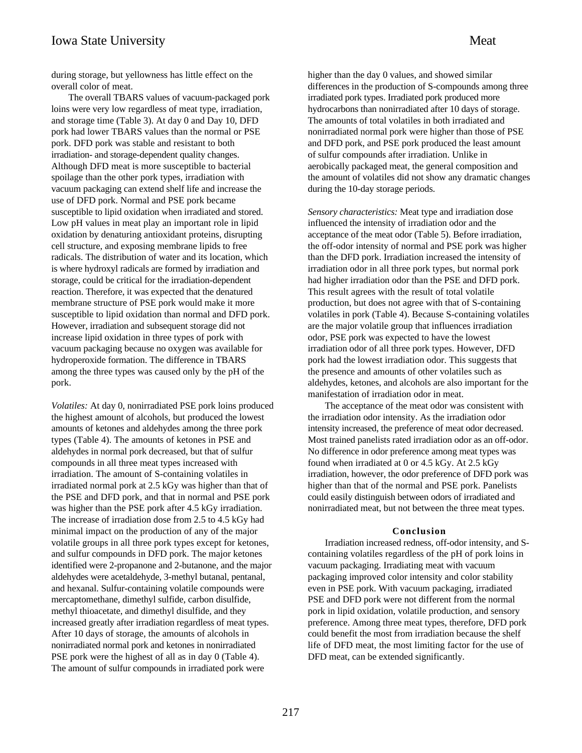The overall TBARS values of vacuum-packaged pork loins were very low regardless of meat type, irradiation, and storage time (Table 3). At day 0 and Day 10, DFD pork had lower TBARS values than the normal or PSE pork. DFD pork was stable and resistant to both irradiation- and storage-dependent quality changes. Although DFD meat is more susceptible to bacterial spoilage than the other pork types, irradiation with vacuum packaging can extend shelf life and increase the use of DFD pork. Normal and PSE pork became susceptible to lipid oxidation when irradiated and stored. Low pH values in meat play an important role in lipid oxidation by denaturing antioxidant proteins, disrupting cell structure, and exposing membrane lipids to free radicals. The distribution of water and its location, which is where hydroxyl radicals are formed by irradiation and storage, could be critical for the irradiation-dependent reaction. Therefore, it was expected that the denatured membrane structure of PSE pork would make it more susceptible to lipid oxidation than normal and DFD pork. However, irradiation and subsequent storage did not increase lipid oxidation in three types of pork with vacuum packaging because no oxygen was available for hydroperoxide formation. The difference in TBARS among the three types was caused only by the pH of the pork.

*Volatiles:* At day 0, nonirradiated PSE pork loins produced the highest amount of alcohols, but produced the lowest amounts of ketones and aldehydes among the three pork types (Table 4). The amounts of ketones in PSE and aldehydes in normal pork decreased, but that of sulfur compounds in all three meat types increased with irradiation. The amount of S-containing volatiles in irradiated normal pork at 2.5 kGy was higher than that of the PSE and DFD pork, and that in normal and PSE pork was higher than the PSE pork after 4.5 kGy irradiation. The increase of irradiation dose from 2.5 to 4.5 kGy had minimal impact on the production of any of the major volatile groups in all three pork types except for ketones, and sulfur compounds in DFD pork. The major ketones identified were 2-propanone and 2-butanone, and the major aldehydes were acetaldehyde, 3-methyl butanal, pentanal, and hexanal. Sulfur-containing volatile compounds were mercaptomethane, dimethyl sulfide, carbon disulfide, methyl thioacetate, and dimethyl disulfide, and they increased greatly after irradiation regardless of meat types. After 10 days of storage, the amounts of alcohols in nonirradiated normal pork and ketones in nonirradiated PSE pork were the highest of all as in day 0 (Table 4). The amount of sulfur compounds in irradiated pork were

higher than the day 0 values, and showed similar differences in the production of S-compounds among three irradiated pork types. Irradiated pork produced more hydrocarbons than nonirradiated after 10 days of storage. The amounts of total volatiles in both irradiated and nonirradiated normal pork were higher than those of PSE and DFD pork, and PSE pork produced the least amount of sulfur compounds after irradiation. Unlike in aerobically packaged meat, the general composition and the amount of volatiles did not show any dramatic changes during the 10-day storage periods.

*Sensory characteristics:* Meat type and irradiation dose influenced the intensity of irradiation odor and the acceptance of the meat odor (Table 5). Before irradiation, the off-odor intensity of normal and PSE pork was higher than the DFD pork. Irradiation increased the intensity of irradiation odor in all three pork types, but normal pork had higher irradiation odor than the PSE and DFD pork. This result agrees with the result of total volatile production, but does not agree with that of S-containing volatiles in pork (Table 4). Because S-containing volatiles are the major volatile group that influences irradiation odor, PSE pork was expected to have the lowest irradiation odor of all three pork types. However, DFD pork had the lowest irradiation odor. This suggests that the presence and amounts of other volatiles such as aldehydes, ketones, and alcohols are also important for the manifestation of irradiation odor in meat.

The acceptance of the meat odor was consistent with the irradiation odor intensity. As the irradiation odor intensity increased, the preference of meat odor decreased. Most trained panelists rated irradiation odor as an off-odor. No difference in odor preference among meat types was found when irradiated at 0 or 4.5 kGy. At 2.5 kGy irradiation, however, the odor preference of DFD pork was higher than that of the normal and PSE pork. Panelists could easily distinguish between odors of irradiated and nonirradiated meat, but not between the three meat types.

#### **Conclusion**

Irradiation increased redness, off-odor intensity, and Scontaining volatiles regardless of the pH of pork loins in vacuum packaging. Irradiating meat with vacuum packaging improved color intensity and color stability even in PSE pork. With vacuum packaging, irradiated PSE and DFD pork were not different from the normal pork in lipid oxidation, volatile production, and sensory preference. Among three meat types, therefore, DFD pork could benefit the most from irradiation because the shelf life of DFD meat, the most limiting factor for the use of DFD meat, can be extended significantly.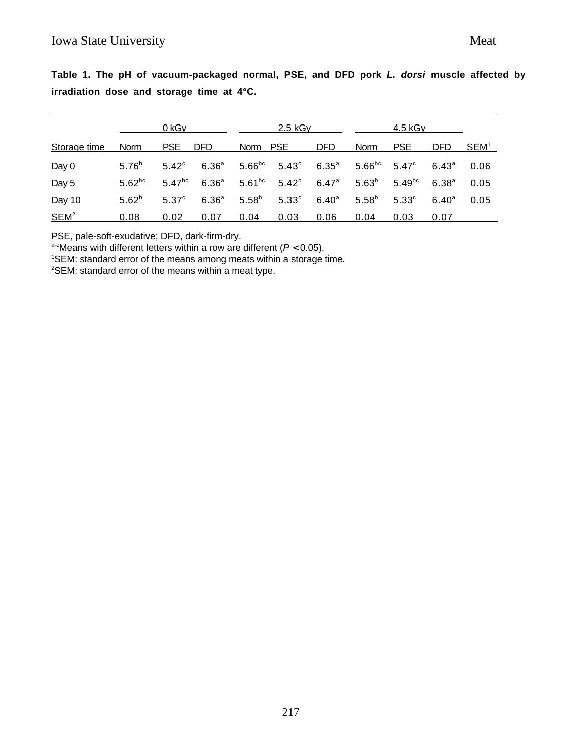|                  | 0 kGy       |                   | $2.5$ kG <sub>V</sub> |             |                   | <u>4.5 kGy</u>    |             |              |                |                  |
|------------------|-------------|-------------------|-----------------------|-------------|-------------------|-------------------|-------------|--------------|----------------|------------------|
| Storage time     | Norm        | <b>PSE</b>        | <b>DFD</b>            | Norm PSE    |                   | <b>DFD</b>        | <b>Norm</b> | <b>PSE</b>   | DFD.           | SEM <sup>1</sup> |
| Day 0            | $5.76^{b}$  | $5.42^{\circ}$    | 6.36 <sup>a</sup>     | $5.66^{bc}$ | $5.43^\circ$      | 6.35 <sup>a</sup> | $5.66^{bc}$ | $5.47^\circ$ | $6.43^{\circ}$ | 0.06             |
| Day 5            | $5.62^{bc}$ | $5.47^{bc}$       | 6.36 <sup>a</sup>     | $5.61^{bc}$ | $5.42^\circ$      | 6.47a             | $5.63^{b}$  | $5.49^{bc}$  | $6.38^{a}$     | 0.05             |
| Day 10           | $5.62^{b}$  | 5.37 <sup>c</sup> | 6.36 <sup>a</sup>     | $5.58^{b}$  | 5.33 <sup>c</sup> | $6.40^{a}$        | $5.58^{b}$  | $5.33^\circ$ | $6.40^{\circ}$ | 0.05             |
| SEM <sup>2</sup> | 0.08        | 0.02              | 0.07                  | 0.04        | 0.03              | 0.06              | 0.04        | 0.03         | 0.07           |                  |

**Table 1. The pH of vacuum-packaged normal, PSE, and DFD pork L. dorsi muscle affected by irradiation dose and storage time at 4°C.**

PSE, pale-soft-exudative; DFD, dark-firm-dry.

a-cMeans with different letters within a row are different ( $P < 0.05$ ).

<sup>1</sup>SEM: standard error of the means among meats within a storage time.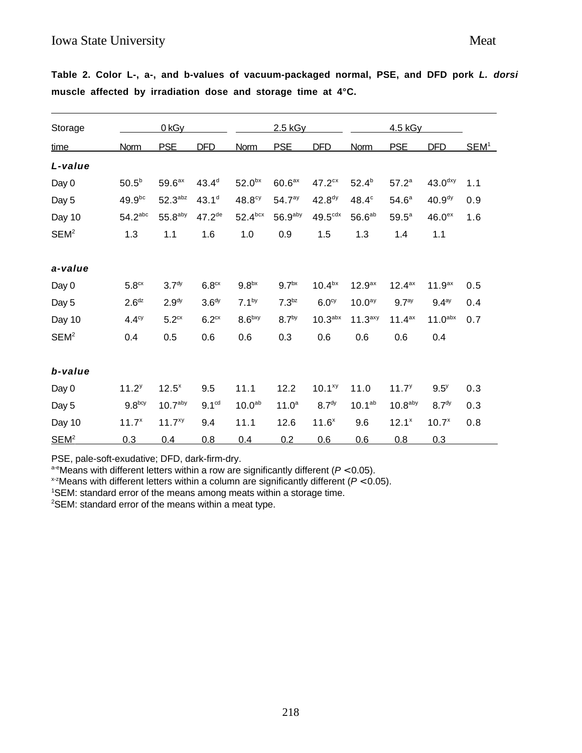| Storage          |                       | 0 <sub>kGy</sub>      |                   |                    | 2.5 kGy            |                       |                     | <u>4.5 kGy</u>      |                     |                  |
|------------------|-----------------------|-----------------------|-------------------|--------------------|--------------------|-----------------------|---------------------|---------------------|---------------------|------------------|
| <u>time</u>      | Norm                  | <b>PSE</b>            | <b>DFD</b>        | Norm               | <b>PSE</b>         | <b>DFD</b>            | Norm                | <b>PSE</b>          | <b>DFD</b>          | SEM <sup>1</sup> |
| L-value          |                       |                       |                   |                    |                    |                       |                     |                     |                     |                  |
| Day 0            | $50.5^{b}$            | 59.6 <sup>ax</sup>    | $43.4^{d}$        | 52.0 <sup>bx</sup> | $60.6a}$           | 47.2 <sup>cx</sup>    | $52.4^{b}$          | $57.2^a$            | 43.0 <sup>dxy</sup> | 1.1              |
| Day 5            | $49.9^{bc}$           | $52.3$ <sup>abz</sup> | 43.1 <sup>d</sup> | 48.8 <sup>cy</sup> | 54.7 <sup>ay</sup> | 42.8 <sup>dy</sup>    | 48.4°               | 54.6 <sup>a</sup>   | 40.9 <sup>dy</sup>  | 0.9              |
| Day 10           | $54.2$ <sup>abc</sup> | $55.8$ <sup>aby</sup> | $47.2^{de}$       | $52.4^{box}$       | $56.9$ aby         | $49.5$ <sup>cdx</sup> | 56.6 <sup>ab</sup>  | $59.5^a$            | 46.0 <sup>ex</sup>  | 1.6              |
| SEM <sup>2</sup> | 1.3                   | 1.1                   | 1.6               | 1.0                | 0.9                | 1.5                   | 1.3                 | 1.4                 | 1.1                 |                  |
| a-value          |                       |                       |                   |                    |                    |                       |                     |                     |                     |                  |
| Day 0            | 5.8 <sup>cx</sup>     | 3.7 <sup>dy</sup>     | 6.8 <sup>cx</sup> | 9.8 <sup>bx</sup>  | 9.7 <sup>bx</sup>  | 10.4 <sup>bx</sup>    | 12.9 <sup>ax</sup>  | $12.4^{ax}$         | $11.9^{ax}$         | 0.5              |
| Day 5            | 2.6 <sup>dz</sup>     | 2.9 <sup>dy</sup>     | 3.6 <sup>dy</sup> | $7.1^{by}$         | 7.3 <sup>bz</sup>  | 6.0 <sup>cy</sup>     | 10.0 <sup>ay</sup>  | 9.7 <sup>ay</sup>   | 9.4 <sup>ay</sup>   | 0.4              |
| Day 10           | $4.4^\text{cy}$       | 5.2 <sup>cx</sup>     | 6.2 <sup>cx</sup> | 8.6 <sup>bxy</sup> | 8.7 <sup>by</sup>  | 10.3 <sup>abx</sup>   | 11.3 <sup>axy</sup> | $11.4^{ax}$         | 11.0 <sup>abx</sup> | 0.7              |
| SEM <sup>2</sup> | 0.4                   | 0.5                   | 0.6               | 0.6                | 0.3                | 0.6                   | 0.6                 | 0.6                 | 0.4                 |                  |
| b-value          |                       |                       |                   |                    |                    |                       |                     |                     |                     |                  |
| Day 0            | $11.2^{y}$            | $12.5^{x}$            | 9.5               | 11.1               | 12.2               | $10.1^{xy}$           | 11.0                | 11.7 <sup>y</sup>   | $9.5^y$             | 0.3              |
| Day 5            | $9.8^{bcy}$           | 10.7 <sup>aby</sup>   | 9.1 <sup>cd</sup> | 10.0 <sup>ab</sup> | $11.0^{a}$         | 8.7 <sup>dy</sup>     | $10.1^{ab}$         | 10.8 <sup>aby</sup> | 8.7 <sup>dy</sup>   | 0.3              |
| Day 10           | $11.7^{x}$            | $11.7^{xy}$           | 9.4               | 11.1               | 12.6               | $11.6^{x}$            | 9.6                 | $12.1^x$            | $10.7^{x}$          | 0.8              |
| $SEM2$           | 0.3                   | 0.4                   | 0.8               | 0.4                | 0.2                | 0.6                   | 0.6                 | 0.8                 | 0.3                 |                  |

**Table 2. Color L-, a-, and b-values of vacuum-packaged normal, PSE, and DFD pork L. dorsi muscle affected by irradiation dose and storage time at 4°C.**

PSE, pale-soft-exudative; DFD, dark-firm-dry.

a-eMeans with different letters within a row are significantly different ( $P < 0.05$ ).

 $x$ <sup>-z</sup>Means with different letters within a column are significantly different ( $P < 0.05$ ).

<sup>1</sup>SEM: standard error of the means among meats within a storage time.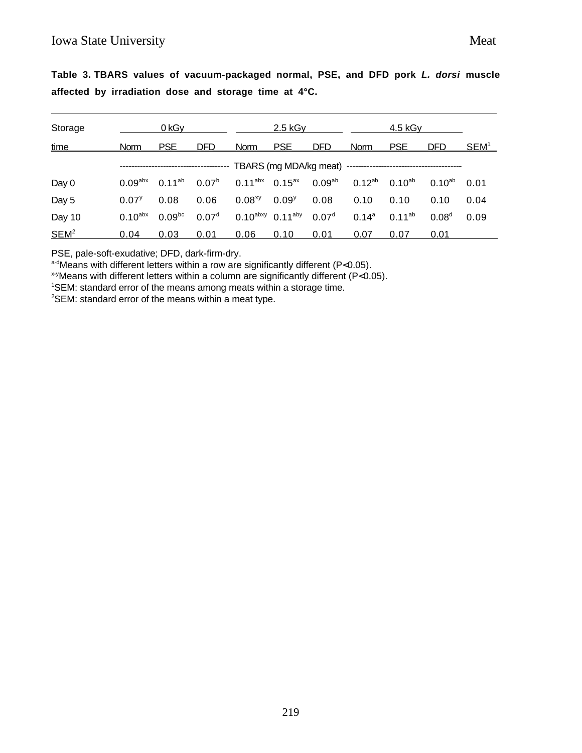| Storage                                     | <u>0 kGv</u>          |                    | 2.5 kG <sub>V</sub> |                                   |            | 4.5 kG <sub>V</sub> |             |             |                   |                  |
|---------------------------------------------|-----------------------|--------------------|---------------------|-----------------------------------|------------|---------------------|-------------|-------------|-------------------|------------------|
| time                                        | Norm                  | <b>PSE</b>         | <b>DFD</b>          | <b>Norm</b>                       | <b>PSE</b> | <b>DFD</b>          | <b>Norm</b> | <b>PSE</b>  | <b>DFD</b>        | SEM <sup>1</sup> |
| TBARS (mg MDA/kg meat) -------------------- |                       |                    |                     |                                   |            |                     |             |             |                   |                  |
| Day 0                                       | $0.09$ <sup>abx</sup> | $0.11^{ab}$        | 0.07 <sup>b</sup>   | $0.11^{abx}$ 0.15 <sup>ax</sup>   |            | 0.09 <sup>ab</sup>  | $0.12^{ab}$ | $0.10^{ab}$ | $0.10^{ab}$       | 0.01             |
| Day 5                                       | $0.07^{y}$            | 0.08               | 0.06                | $0.08^{xy}$                       | $0.09^{y}$ | 0.08                | 0.10        | 0.10        | 0.10              | 0.04             |
| Day 10                                      | $0.10$ <sup>abx</sup> | 0.09 <sup>bc</sup> | 0.07 <sup>d</sup>   | $0.10^{abxy}$ 0.11 <sup>aby</sup> |            | 0.07 <sup>d</sup>   | $0.14^{a}$  | $0.11^{ab}$ | 0.08 <sup>d</sup> | 0.09             |
| SEM <sup>2</sup>                            | 0.04                  | 0.03               | 0.01                | 0.06                              | 0.10       | 0.01                | 0.07        | 0.07        | 0.01              |                  |

**Table 3. TBARS values of vacuum-packaged normal, PSE, and DFD pork L. dorsi muscle affected by irradiation dose and storage time at 4°C.**

PSE, pale-soft-exudative; DFD, dark-firm-dry.

a-dMeans with different letters within a row are significantly different (P<0.05).

 $x+y$ Means with different letters within a column are significantly different (P<0.05).

<sup>1</sup>SEM: standard error of the means among meats within a storage time.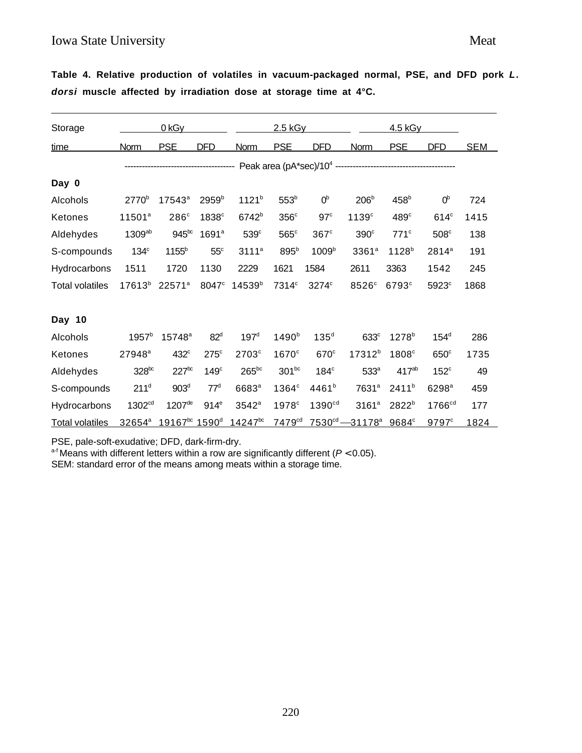# Iowa State University Meat

**Table 4. Relative production of volatiles in vacuum-packaged normal, PSE, and DFD pork L. dorsi muscle affected by irradiation dose at storage time at 4°C.**

| Storage                |                    | 0 <sub>kGy</sub>               |                   |                     | 2.5 kGy            |                    |                                         | 4.5 kGy           |                    |            |
|------------------------|--------------------|--------------------------------|-------------------|---------------------|--------------------|--------------------|-----------------------------------------|-------------------|--------------------|------------|
| time                   | Norm               | <b>PSE</b>                     | <b>DFD</b>        | Norm                | <b>PSE</b>         | DFD                | Norm                                    | <b>PSE</b>        | DFD                | <b>SEM</b> |
|                        |                    |                                |                   |                     |                    |                    |                                         |                   |                    |            |
| Day 0                  |                    |                                |                   |                     |                    |                    |                                         |                   |                    |            |
| Alcohols               | 2770 <sup>b</sup>  | 17543 <sup>a</sup>             | 2959 <sup>b</sup> | $1121^{b}$          | 553 <sup>b</sup>   | 0 <sup>b</sup>     | 206 <sup>b</sup>                        | 458 <sup>b</sup>  | 0 <sup>b</sup>     | 724        |
| Ketones                | $11501^a$          | $286^\circ$                    | 1838 <sup>c</sup> | 6742 <sup>b</sup>   | 356 <sup>c</sup>   | 97 <sup>c</sup>    | 1139 <sup>c</sup>                       | 489 <sup>c</sup>  | 614 <sup>c</sup>   | 1415       |
| Aldehydes              | 1309ab             | 945 <sup>bc</sup>              | 1691 <sup>a</sup> | 539 <sup>c</sup>    | $565^\circ$        | $367$ <sup>c</sup> | 390 <sup>c</sup>                        | 771 <sup>c</sup>  | 508 <sup>c</sup>   | 138        |
| S-compounds            | $134^\circ$        | $1155^b$                       | $55^{\circ}$      | 3111 <sup>a</sup>   | 895 <sup>b</sup>   | 1009 <sup>b</sup>  | 3361 <sup>a</sup>                       | $1128^{b}$        | 2814 <sup>a</sup>  | 191        |
| Hydrocarbons           | 1511               | 1720                           | 1130              | 2229                | 1621               | 1584               | 2611                                    | 3363              | 1542               | 245        |
| <b>Total volatiles</b> | $17613^{b}$        | $22571^a$                      | 8047 <sup>c</sup> | 14539 <sup>b</sup>  | 7314 <sup>c</sup>  | 3274°              | 8526°                                   | 6793 <sup>c</sup> | 5923°              | 1868       |
| Day 10                 |                    |                                |                   |                     |                    |                    |                                         |                   |                    |            |
| Alcohols               | $1957^b$           | $15748^a$                      | 82 <sup>d</sup>   | 197 <sup>d</sup>    | 1490 <sup>b</sup>  | 135 <sup>d</sup>   | 633c                                    | $1278^{b}$        | $154^d$            | 286        |
| Ketones                | 27948 <sup>a</sup> | 432 <sup>c</sup>               | $275^{\circ}$     | $2703$ <sup>c</sup> | $1670^\circ$       | 670 <sup>c</sup>   | 17312 <sup>b</sup>                      | 1808 <sup>c</sup> | 650°               | 1735       |
| Aldehydes              | $328^{bc}$         | $227$ <sup>bc</sup>            | $149^\circ$       | $265^{bc}$          | $301^{bc}$         | 184 <sup>c</sup>   | 533 <sup>a</sup>                        | 417 <sup>ab</sup> | $152^{\circ}$      | 49         |
| S-compounds            | 211 <sup>d</sup>   | 903 <sup>d</sup>               | 77 <sup>d</sup>   | 6683ª               | 1364 <sup>c</sup>  | $4461^{b}$         | 7631 <sup>a</sup>                       | 2411 <sup>b</sup> | 6298 <sup>a</sup>  | 459        |
| Hydrocarbons           | 1302 <sup>cd</sup> | 1207 <sup>de</sup>             | 914 <sup>e</sup>  | $3542$ <sup>a</sup> | 1978 <sup>c</sup>  | 1390 <sup>cd</sup> | 3161 <sup>a</sup>                       | 2822 <sup>b</sup> | 1766 <sup>cd</sup> | 177        |
| <b>Total volatiles</b> | $32654^{\circ}$    | $19167^{bc}$ 1590 <sup>d</sup> |                   | $14247^{bc}$        | 7479 <sup>cd</sup> |                    | $7530^{cd} - 31178^a$ 9684 <sup>c</sup> |                   | 9797c              | 1824       |

PSE, pale-soft-exudative; DFD, dark-firm-dry.

 $a-f$  Means with different letters within a row are significantly different ( $P < 0.05$ ).

SEM: standard error of the means among meats within a storage time.